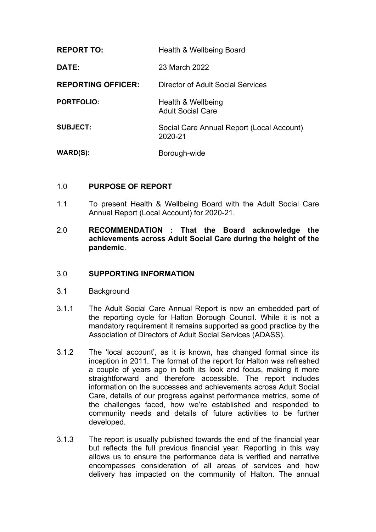| <b>REPORT TO:</b>         | Health & Wellbeing Board                             |
|---------------------------|------------------------------------------------------|
| DATE:                     | 23 March 2022                                        |
| <b>REPORTING OFFICER:</b> | Director of Adult Social Services                    |
| <b>PORTFOLIO:</b>         | Health & Wellbeing<br><b>Adult Social Care</b>       |
| <b>SUBJECT:</b>           | Social Care Annual Report (Local Account)<br>2020-21 |
| <b>WARD(S):</b>           | Borough-wide                                         |

## 1.0 **PURPOSE OF REPORT**

- 1.1 To present Health & Wellbeing Board with the Adult Social Care Annual Report (Local Account) for 2020-21.
- 2.0 **RECOMMENDATION : That the Board acknowledge the achievements across Adult Social Care during the height of the pandemic**.

#### 3.0 **SUPPORTING INFORMATION**

- 3.1 **Background**
- 3.1.1 The Adult Social Care Annual Report is now an embedded part of the reporting cycle for Halton Borough Council. While it is not a mandatory requirement it remains supported as good practice by the Association of Directors of Adult Social Services (ADASS).
- 3.1.2 The 'local account', as it is known, has changed format since its inception in 2011. The format of the report for Halton was refreshed a couple of years ago in both its look and focus, making it more straightforward and therefore accessible. The report includes information on the successes and achievements across Adult Social Care, details of our progress against performance metrics, some of the challenges faced, how we're established and responded to community needs and details of future activities to be further developed.
- 3.1.3 The report is usually published towards the end of the financial year but reflects the full previous financial year. Reporting in this way allows us to ensure the performance data is verified and narrative encompasses consideration of all areas of services and how delivery has impacted on the community of Halton. The annual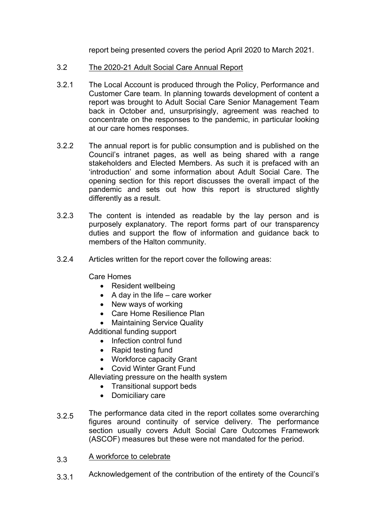report being presented covers the period April 2020 to March 2021.

- 3.2 The 2020-21 Adult Social Care Annual Report
- 3.2.1 The Local Account is produced through the Policy, Performance and Customer Care team. In planning towards development of content a report was brought to Adult Social Care Senior Management Team back in October and, unsurprisingly, agreement was reached to concentrate on the responses to the pandemic, in particular looking at our care homes responses.
- 3.2.2 The annual report is for public consumption and is published on the Council's intranet pages, as well as being shared with a range stakeholders and Elected Members. As such it is prefaced with an 'introduction' and some information about Adult Social Care. The opening section for this report discusses the overall impact of the pandemic and sets out how this report is structured slightly differently as a result.
- 3.2.3 The content is intended as readable by the lay person and is purposely explanatory. The report forms part of our transparency duties and support the flow of information and guidance back to members of the Halton community.
- 3.2.4 Articles written for the report cover the following areas:

Care Homes

- Resident wellbeing
- $\bullet$  A day in the life care worker
- New ways of working
- Care Home Resilience Plan
- Maintaining Service Quality

Additional funding support

- Infection control fund
- Rapid testing fund
- Workforce capacity Grant
- Covid Winter Grant Fund

Alleviating pressure on the health system

- Transitional support beds
- Domiciliary care
- 3.2.5 The performance data cited in the report collates some overarching figures around continuity of service delivery. The performance section usually covers Adult Social Care Outcomes Framework (ASCOF) measures but these were not mandated for the period.
- 3.3 A workforce to celebrate
- 3.3.1 Acknowledgement of the contribution of the entirety of the Council's